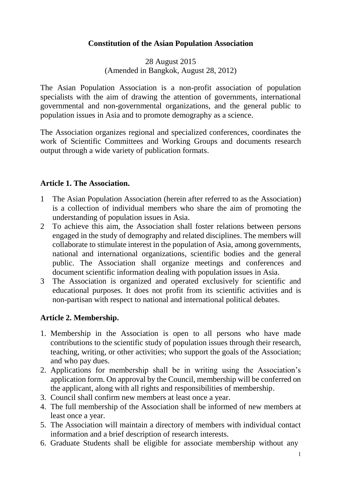#### **Constitution of the Asian Population Association**

28 August 2015 (Amended in Bangkok, August 28, 2012)

The Asian Population Association is a non-profit association of population specialists with the aim of drawing the attention of governments, international governmental and non-governmental organizations, and the general public to population issues in Asia and to promote demography as a science.

The Association organizes regional and specialized conferences, coordinates the work of Scientific Committees and Working Groups and documents research output through a wide variety of publication formats.

#### **Article 1. The Association.**

- 1 The Asian Population Association (herein after referred to as the Association) is a collection of individual members who share the aim of promoting the understanding of population issues in Asia.
- 2 To achieve this aim, the Association shall foster relations between persons engaged in the study of demography and related disciplines. The members will collaborate to stimulate interest in the population of Asia, among governments, national and international organizations, scientific bodies and the general public. The Association shall organize meetings and conferences and document scientific information dealing with population issues in Asia.
- 3 The Association is organized and operated exclusively for scientific and educational purposes. It does not profit from its scientific activities and is non-partisan with respect to national and international political debates.

#### **Article 2. Membership.**

- 1. Membership in the Association is open to all persons who have made contributions to the scientific study of population issues through their research, teaching, writing, or other activities; who support the goals of the Association; and who pay dues.
- 2. Applications for membership shall be in writing using the Association's application form. On approval by the Council, membership will be conferred on the applicant, along with all rights and responsibilities of membership.
- 3. Council shall confirm new members at least once a year.
- 4. The full membership of the Association shall be informed of new members at least once a year.
- 5. The Association will maintain a directory of members with individual contact information and a brief description of research interests.
- 6. Graduate Students shall be eligible for associate membership without any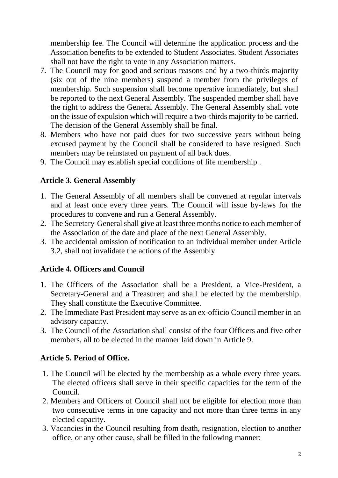membership fee. The Council will determine the application process and the Association benefits to be extended to Student Associates. Student Associates shall not have the right to vote in any Association matters.

- 7. The Council may for good and serious reasons and by a two-thirds majority (six out of the nine members) suspend a member from the privileges of membership. Such suspension shall become operative immediately, but shall be reported to the next General Assembly. The suspended member shall have the right to address the General Assembly. The General Assembly shall vote on the issue of expulsion which will require a two-thirds majority to be carried. The decision of the General Assembly shall be final.
- 8. Members who have not paid dues for two successive years without being excused payment by the Council shall be considered to have resigned. Such members may be reinstated on payment of all back dues.
- 9. The Council may establish special conditions of life membership .

# **Article 3. General Assembly**

- 1. The General Assembly of all members shall be convened at regular intervals and at least once every three years. The Council will issue by-laws for the procedures to convene and run a General Assembly.
- 2. The Secretary-General shall give at least three months notice to each member of the Association of the date and place of the next General Assembly.
- 3. The accidental omission of notification to an individual member under Article 3.2, shall not invalidate the actions of the Assembly.

# **Article 4. Officers and Council**

- 1. The Officers of the Association shall be a President, a Vice-President, a Secretary-General and a Treasurer; and shall be elected by the membership. They shall constitute the Executive Committee.
- 2. The Immediate Past President may serve as an ex-officio Council member in an advisory capacity.
- 3. The Council of the Association shall consist of the four Officers and five other members, all to be elected in the manner laid down in Article 9.

# **Article 5. Period of Office.**

- 1. The Council will be elected by the membership as a whole every three years. The elected officers shall serve in their specific capacities for the term of the Council.
- 2. Members and Officers of Council shall not be eligible for election more than two consecutive terms in one capacity and not more than three terms in any elected capacity.
- 3. Vacancies in the Council resulting from death, resignation, election to another office, or any other cause, shall be filled in the following manner: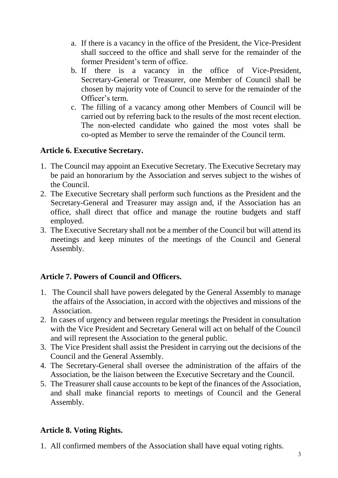- a. If there is a vacancy in the office of the President, the Vice-President shall succeed to the office and shall serve for the remainder of the former President's term of office.
- b. If there is a vacancy in the office of Vice-President, Secretary-General or Treasurer, one Member of Council shall be chosen by majority vote of Council to serve for the remainder of the Officer's term.
- c. The filling of a vacancy among other Members of Council will be carried out by referring back to the results of the most recent election. The non-elected candidate who gained the most votes shall be co-opted as Member to serve the remainder of the Council term.

#### **Article 6. Executive Secretary.**

- 1. The Council may appoint an Executive Secretary. The Executive Secretary may be paid an honorarium by the Association and serves subject to the wishes of the Council.
- 2. The Executive Secretary shall perform such functions as the President and the Secretary-General and Treasurer may assign and, if the Association has an office, shall direct that office and manage the routine budgets and staff employed.
- 3. The Executive Secretary shall not be a member of the Council but will attend its meetings and keep minutes of the meetings of the Council and General Assembly.

#### **Article 7. Powers of Council and Officers.**

- 1. The Council shall have powers delegated by the General Assembly to manage the affairs of the Association, in accord with the objectives and missions of the Association.
- 2. In cases of urgency and between regular meetings the President in consultation with the Vice President and Secretary General will act on behalf of the Council and will represent the Association to the general public.
- 3. The Vice President shall assist the President in carrying out the decisions of the Council and the General Assembly.
- 4. The Secretary-General shall oversee the administration of the affairs of the Association, be the liaison between the Executive Secretary and the Council.
- 5. The Treasurer shall cause accounts to be kept of the finances of the Association, and shall make financial reports to meetings of Council and the General Assembly.

# **Article 8. Voting Rights.**

1. All confirmed members of the Association shall have equal voting rights.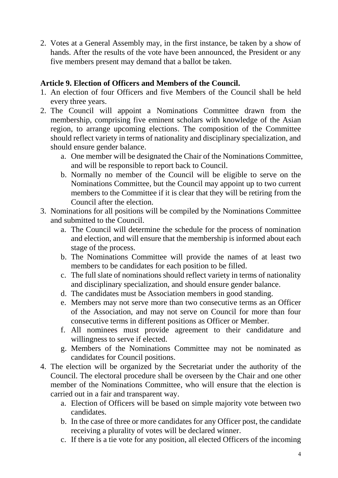2. Votes at a General Assembly may, in the first instance, be taken by a show of hands. After the results of the vote have been announced, the President or any five members present may demand that a ballot be taken.

#### **Article 9. Election of Officers and Members of the Council.**

- 1. An election of four Officers and five Members of the Council shall be held every three years.
- 2. The Council will appoint a Nominations Committee drawn from the membership, comprising five eminent scholars with knowledge of the Asian region, to arrange upcoming elections. The composition of the Committee should reflect variety in terms of nationality and disciplinary specialization, and should ensure gender balance.
	- a. One member will be designated the Chair of the Nominations Committee, and will be responsible to report back to Council.
	- b. Normally no member of the Council will be eligible to serve on the Nominations Committee, but the Council may appoint up to two current members to the Committee if it is clear that they will be retiring from the Council after the election.
- 3. Nominations for all positions will be compiled by the Nominations Committee and submitted to the Council.
	- a. The Council will determine the schedule for the process of nomination and election, and will ensure that the membership is informed about each stage of the process.
	- b. The Nominations Committee will provide the names of at least two members to be candidates for each position to be filled.
	- c. The full slate of nominations should reflect variety in terms of nationality and disciplinary specialization, and should ensure gender balance.
	- d. The candidates must be Association members in good standing.
	- e. Members may not serve more than two consecutive terms as an Officer of the Association, and may not serve on Council for more than four consecutive terms in different positions as Officer or Member.
	- f. All nominees must provide agreement to their candidature and willingness to serve if elected.
	- g. Members of the Nominations Committee may not be nominated as candidates for Council positions.
- 4. The election will be organized by the Secretariat under the authority of the Council. The electoral procedure shall be overseen by the Chair and one other member of the Nominations Committee, who will ensure that the election is carried out in a fair and transparent way.
	- a. Election of Officers will be based on simple majority vote between two candidates.
	- b. In the case of three or more candidates for any Officer post, the candidate receiving a plurality of votes will be declared winner.
	- c. If there is a tie vote for any position, all elected Officers of the incoming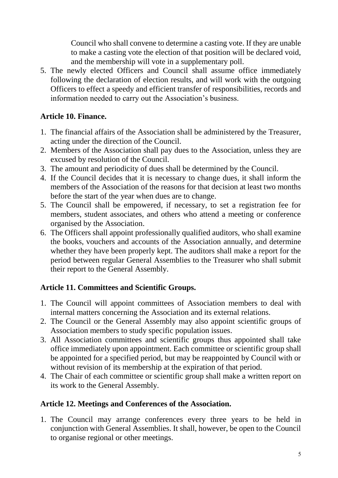Council who shall convene to determine a casting vote. If they are unable to make a casting vote the election of that position will be declared void, and the membership will vote in a supplementary poll.

5. The newly elected Officers and Council shall assume office immediately following the declaration of election results, and will work with the outgoing Officers to effect a speedy and efficient transfer of responsibilities, records and information needed to carry out the Association's business.

# **Article 10. Finance.**

- 1. The financial affairs of the Association shall be administered by the Treasurer, acting under the direction of the Council.
- 2. Members of the Association shall pay dues to the Association, unless they are excused by resolution of the Council.
- 3. The amount and periodicity of dues shall be determined by the Council.
- 4. If the Council decides that it is necessary to change dues, it shall inform the members of the Association of the reasons for that decision at least two months before the start of the year when dues are to change.
- 5. The Council shall be empowered, if necessary, to set a registration fee for members, student associates, and others who attend a meeting or conference organised by the Association.
- 6. The Officers shall appoint professionally qualified auditors, who shall examine the books, vouchers and accounts of the Association annually, and determine whether they have been properly kept. The auditors shall make a report for the period between regular General Assemblies to the Treasurer who shall submit their report to the General Assembly.

# **Article 11. Committees and Scientific Groups.**

- 1. The Council will appoint committees of Association members to deal with internal matters concerning the Association and its external relations.
- 2. The Council or the General Assembly may also appoint scientific groups of Association members to study specific population issues.
- 3. All Association committees and scientific groups thus appointed shall take office immediately upon appointment. Each committee or scientific group shall be appointed for a specified period, but may be reappointed by Council with or without revision of its membership at the expiration of that period.
- 4. The Chair of each committee or scientific group shall make a written report on its work to the General Assembly.

# **Article 12. Meetings and Conferences of the Association.**

1. The Council may arrange conferences every three years to be held in conjunction with General Assemblies. It shall, however, be open to the Council to organise regional or other meetings.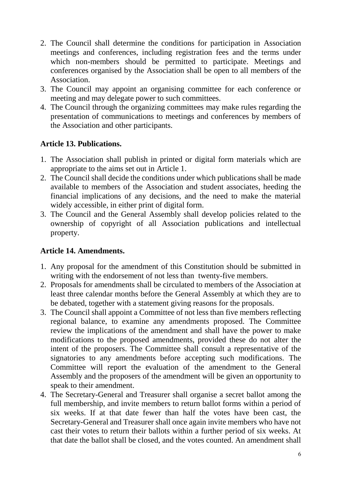- 2. The Council shall determine the conditions for participation in Association meetings and conferences, including registration fees and the terms under which non-members should be permitted to participate. Meetings and conferences organised by the Association shall be open to all members of the Association.
- 3. The Council may appoint an organising committee for each conference or meeting and may delegate power to such committees.
- 4. The Council through the organizing committees may make rules regarding the presentation of communications to meetings and conferences by members of the Association and other participants.

#### **Article 13. Publications.**

- 1. The Association shall publish in printed or digital form materials which are appropriate to the aims set out in Article 1.
- 2. The Council shall decide the conditions under which publications shall be made available to members of the Association and student associates, heeding the financial implications of any decisions, and the need to make the material widely accessible, in either print of digital form.
- 3. The Council and the General Assembly shall develop policies related to the ownership of copyright of all Association publications and intellectual property.

# **Article 14. Amendments.**

- 1. Any proposal for the amendment of this Constitution should be submitted in writing with the endorsement of not less than twenty-five members.
- 2. Proposals for amendments shall be circulated to members of the Association at least three calendar months before the General Assembly at which they are to be debated, together with a statement giving reasons for the proposals.
- 3. The Council shall appoint a Committee of not less than five members reflecting regional balance, to examine any amendments proposed. The Committee review the implications of the amendment and shall have the power to make modifications to the proposed amendments, provided these do not alter the intent of the proposers. The Committee shall consult a representative of the signatories to any amendments before accepting such modifications. The Committee will report the evaluation of the amendment to the General Assembly and the proposers of the amendment will be given an opportunity to speak to their amendment.
- 4. The Secretary-General and Treasurer shall organise a secret ballot among the full membership, and invite members to return ballot forms within a period of six weeks. If at that date fewer than half the votes have been cast, the Secretary-General and Treasurer shall once again invite members who have not cast their votes to return their ballots within a further period of six weeks. At that date the ballot shall be closed, and the votes counted. An amendment shall